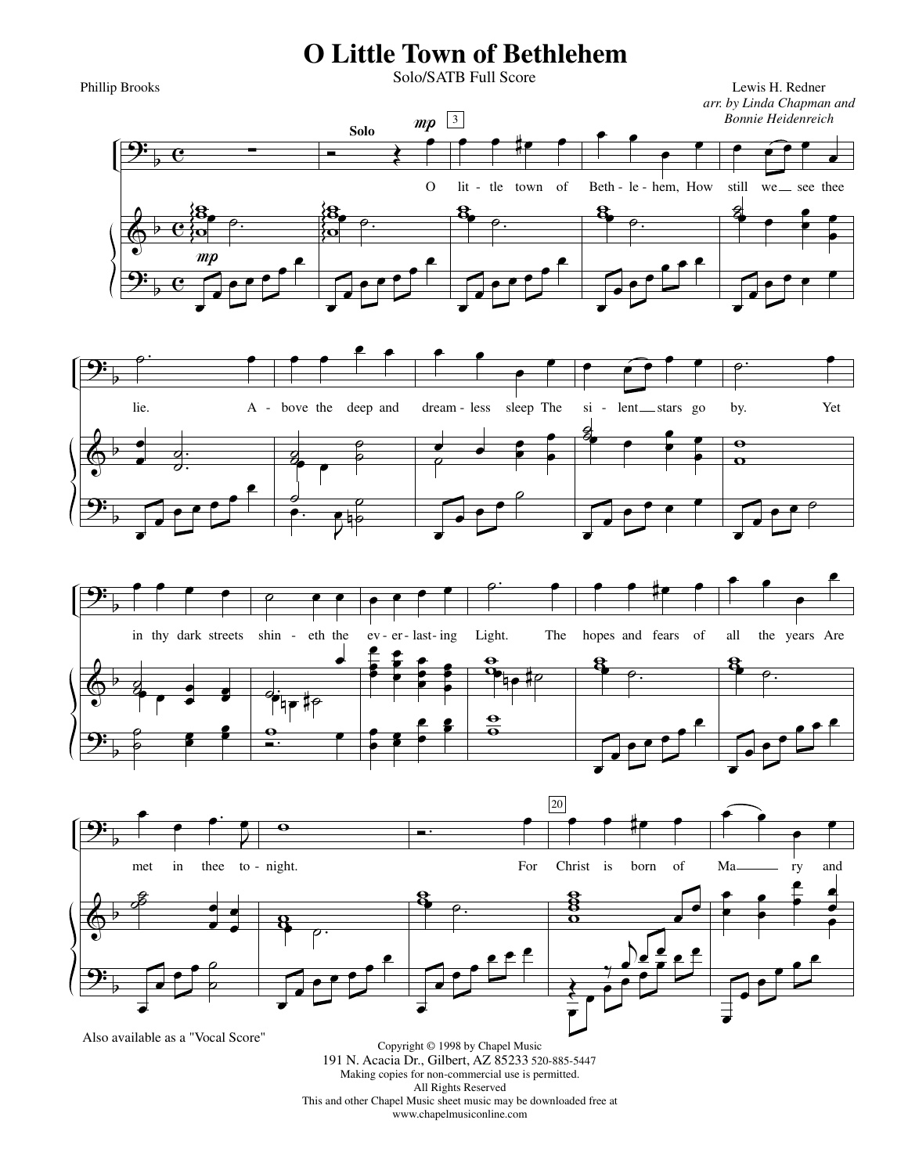## **O Little Town of Bethlehem**

Phillip Brooks

Solo/SATB Full Score









Also available as a "Vocal Score"

Copyright © 1998 by Chapel Music 191 N. Acacia Dr., Gilbert, AZ 85233 520-885-5447 Making copies for non-commercial use is permitted. All Rights Reserved This and other Chapel Music sheet music may be downloaded free at www.chapelmusiconline.com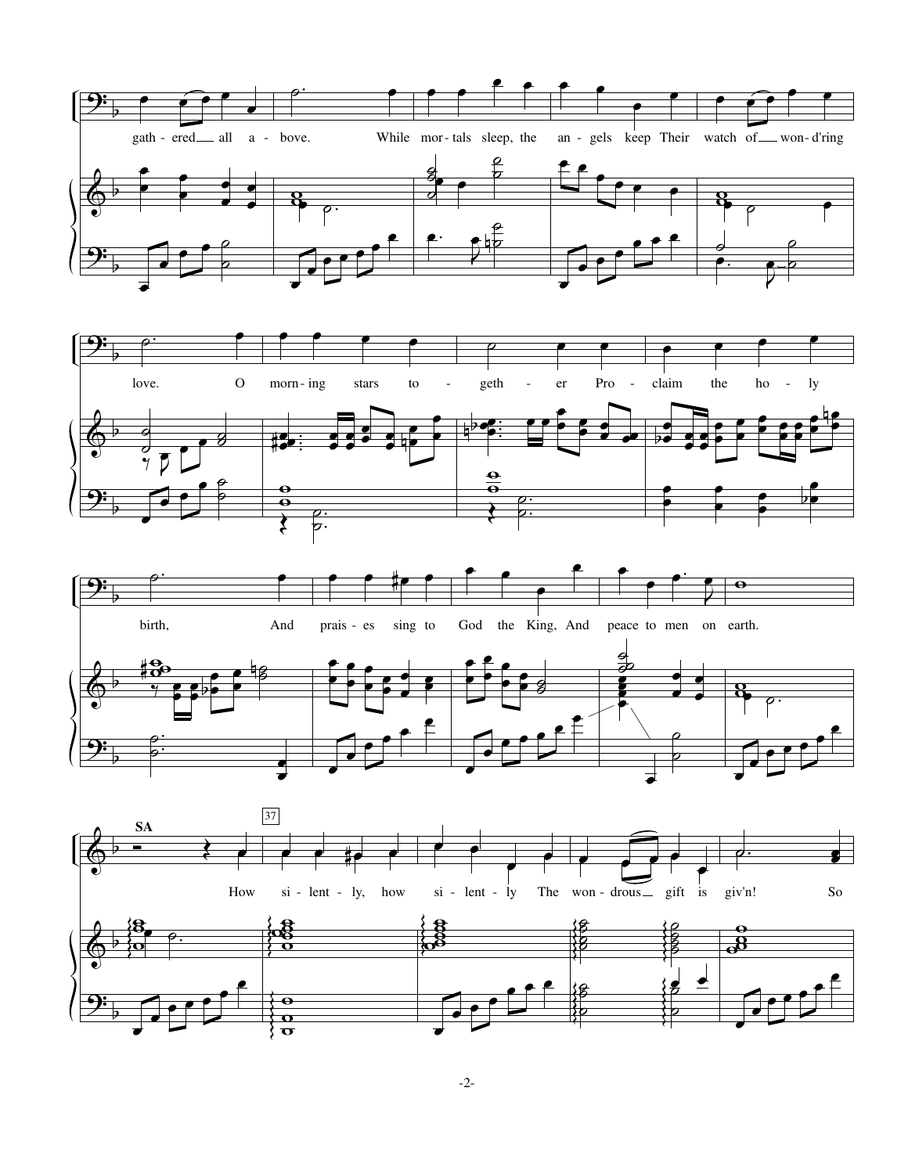